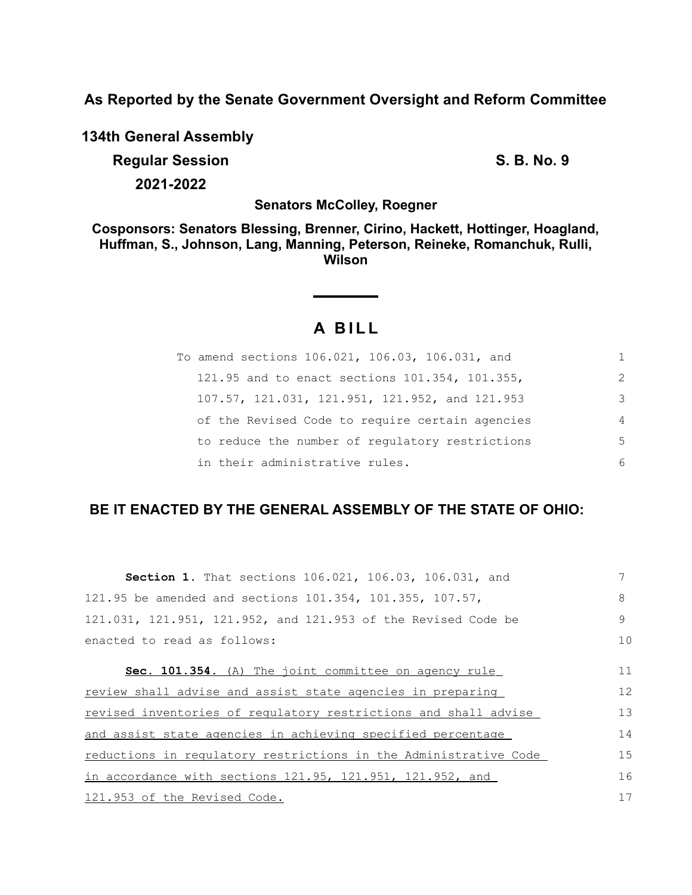**As Reported by the Senate Government Oversight and Reform Committee**

**134th General Assembly Regular Session S. B. No. 9**

**2021-2022**

**Senators McColley, Roegner**

**Cosponsors: Senators Blessing, Brenner, Cirino, Hackett, Hottinger, Hoagland, Huffman, S., Johnson, Lang, Manning, Peterson, Reineke, Romanchuk, Rulli, Wilson**

# **A B I L L**

| To amend sections 106.021, 106.03, 106.031, and |                |
|-------------------------------------------------|----------------|
| 121.95 and to enact sections 101.354, 101.355,  | $\mathcal{L}$  |
| 107.57, 121.031, 121.951, 121.952, and 121.953  | 3              |
| of the Revised Code to require certain agencies | $\overline{4}$ |
| to reduce the number of regulatory restrictions | 5              |
| in their administrative rules.                  | 6              |

# **BE IT ENACTED BY THE GENERAL ASSEMBLY OF THE STATE OF OHIO:**

| Section 1. That sections 106.021, 106.03, 106.031, and           |    |
|------------------------------------------------------------------|----|
| 121.95 be amended and sections 101.354, 101.355, 107.57,         | 8  |
| 121.031, 121.951, 121.952, and 121.953 of the Revised Code be    | 9  |
| enacted to read as follows:                                      | 10 |
| Sec. 101.354. (A) The joint committee on agency rule             | 11 |
| review shall advise and assist state agencies in preparing       | 12 |
| revised inventories of regulatory restrictions and shall advise  | 13 |
| and assist state agencies in achieving specified percentage      | 14 |
| reductions in regulatory restrictions in the Administrative Code | 15 |
| in accordance with sections 121.95, 121.951, 121.952, and        | 16 |
| 121.953 of the Revised Code.                                     | 17 |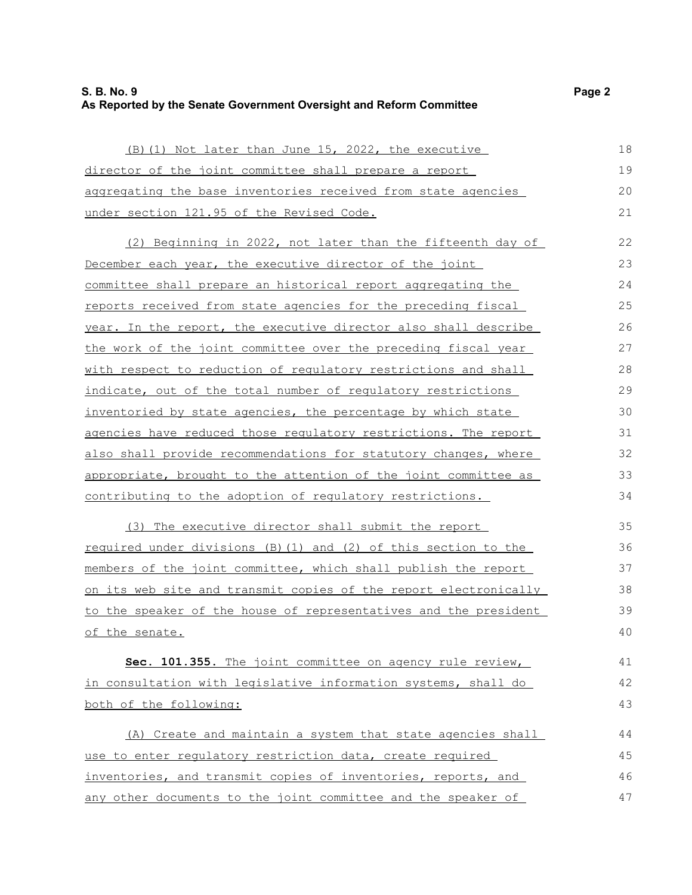# **S. B. No. 9 Page 2 As Reported by the Senate Government Oversight and Reform Committee**

| (B) (1) Not later than June 15, 2022, the executive              | 18 |
|------------------------------------------------------------------|----|
| director of the joint committee shall prepare a report           | 19 |
| aggregating the base inventories received from state agencies    | 20 |
| under section 121.95 of the Revised Code.                        | 21 |
| (2) Beginning in 2022, not later than the fifteenth day of       | 22 |
| December each year, the executive director of the joint          | 23 |
| committee shall prepare an historical report aggregating the     | 24 |
| reports received from state agencies for the preceding fiscal    | 25 |
| year. In the report, the executive director also shall describe  | 26 |
| the work of the joint committee over the preceding fiscal year   | 27 |
| with respect to reduction of regulatory restrictions and shall   | 28 |
| indicate, out of the total number of requlatory restrictions     | 29 |
| inventoried by state agencies, the percentage by which state     | 30 |
| agencies have reduced those requlatory restrictions. The report  | 31 |
| also shall provide recommendations for statutory changes, where  | 32 |
| appropriate, brought to the attention of the joint committee as  | 33 |
| contributing to the adoption of regulatory restrictions.         | 34 |
| (3) The executive director shall submit the report               | 35 |
| required under divisions (B) (1) and (2) of this section to the  | 36 |
| members of the joint committee, which shall publish the report   | 37 |
| on its web site and transmit copies of the report electronically | 38 |
| to the speaker of the house of representatives and the president | 39 |
| of the senate.                                                   | 40 |
| Sec. 101.355. The joint committee on agency rule review,         | 41 |
| in consultation with legislative information systems, shall do   | 42 |
| both of the following:                                           | 43 |
| (A) Create and maintain a system that state agencies shall       | 44 |
| use to enter regulatory restriction data, create required        | 45 |
| inventories, and transmit copies of inventories, reports, and    | 46 |
| any other documents to the joint committee and the speaker of    | 47 |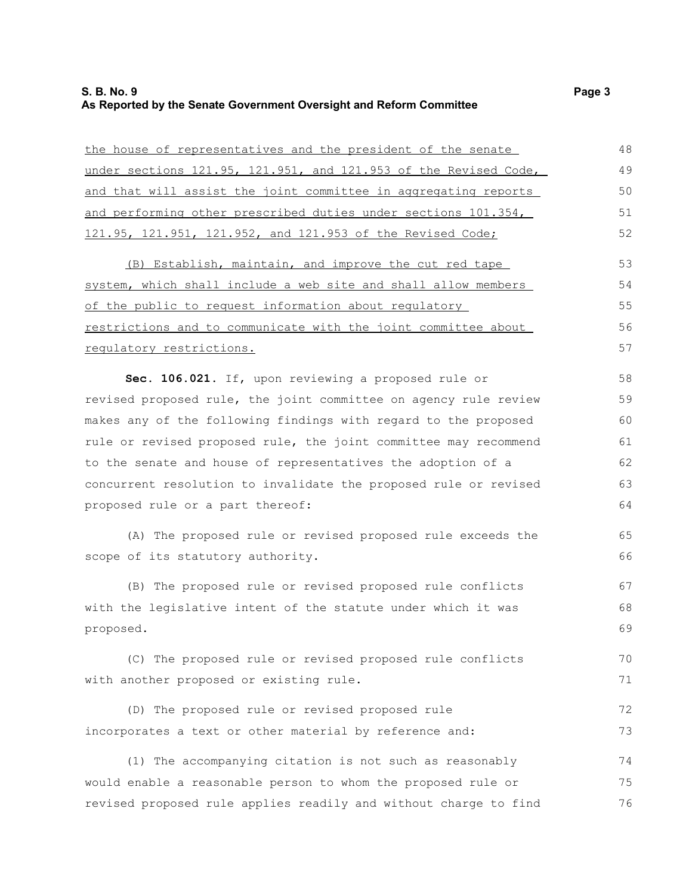# **S. B. No. 9 Page 3 As Reported by the Senate Government Oversight and Reform Committee**

| the house of representatives and the president of the senate     | 48 |
|------------------------------------------------------------------|----|
| under sections 121.95, 121.951, and 121.953 of the Revised Code, | 49 |
| and that will assist the joint committee in aggregating reports  | 50 |
| and performing other prescribed duties under sections 101.354,   | 51 |
| 121.95, 121.951, 121.952, and 121.953 of the Revised Code;       | 52 |
| (B) Establish, maintain, and improve the cut red tape            | 53 |
| system, which shall include a web site and shall allow members   | 54 |
| of the public to request information about regulatory            | 55 |
| restrictions and to communicate with the joint committee about   | 56 |
| regulatory restrictions.                                         | 57 |
| Sec. 106.021. If, upon reviewing a proposed rule or              | 58 |
| revised proposed rule, the joint committee on agency rule review | 59 |
| makes any of the following findings with regard to the proposed  | 60 |
| rule or revised proposed rule, the joint committee may recommend | 61 |
| to the senate and house of representatives the adoption of a     | 62 |
| concurrent resolution to invalidate the proposed rule or revised | 63 |
| proposed rule or a part thereof:                                 | 64 |
| (A) The proposed rule or revised proposed rule exceeds the       | 65 |
| scope of its statutory authority.                                | 66 |
| (B) The proposed rule or revised proposed rule conflicts         | 67 |
| with the legislative intent of the statute under which it was    | 68 |
| proposed.                                                        | 69 |
| (C) The proposed rule or revised proposed rule conflicts         | 70 |
| with another proposed or existing rule.                          | 71 |
| (D) The proposed rule or revised proposed rule                   | 72 |
| incorporates a text or other material by reference and:          | 73 |
| (1) The accompanying citation is not such as reasonably          | 74 |
| would enable a reasonable person to whom the proposed rule or    | 75 |
| revised proposed rule applies readily and without charge to find | 76 |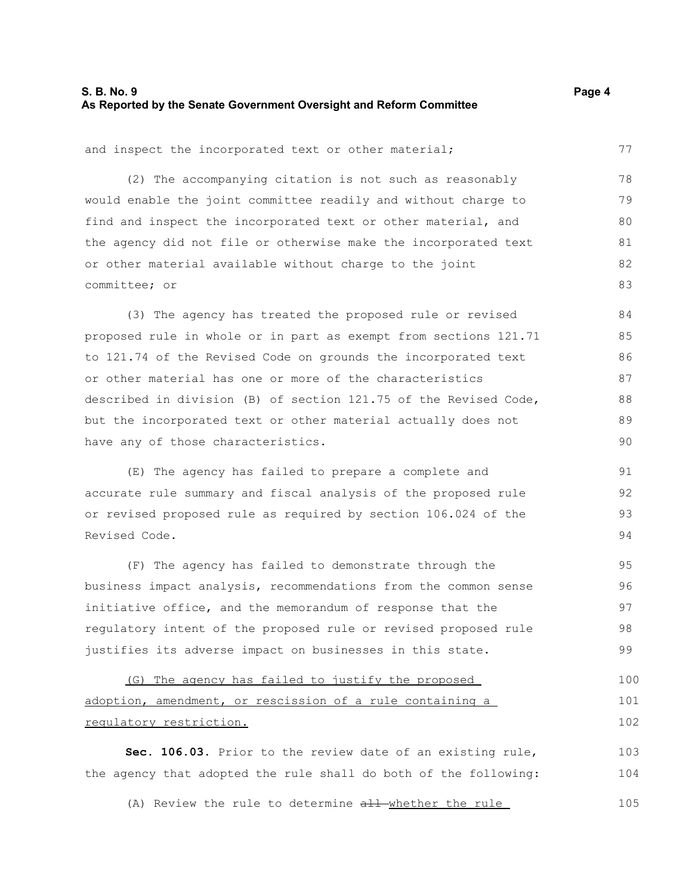#### **S. B. No. 9 Page 4 As Reported by the Senate Government Oversight and Reform Committee**

77

and inspect the incorporated text or other material;

(2) The accompanying citation is not such as reasonably would enable the joint committee readily and without charge to find and inspect the incorporated text or other material, and the agency did not file or otherwise make the incorporated text or other material available without charge to the joint committee; or 78 79 80 81 82 83

(3) The agency has treated the proposed rule or revised proposed rule in whole or in part as exempt from sections 121.71 to 121.74 of the Revised Code on grounds the incorporated text or other material has one or more of the characteristics described in division (B) of section 121.75 of the Revised Code, but the incorporated text or other material actually does not have any of those characteristics. 84 85 86 87 88 89 90

(E) The agency has failed to prepare a complete and accurate rule summary and fiscal analysis of the proposed rule or revised proposed rule as required by section 106.024 of the Revised Code. 91 92 93 94

(F) The agency has failed to demonstrate through the business impact analysis, recommendations from the common sense initiative office, and the memorandum of response that the regulatory intent of the proposed rule or revised proposed rule justifies its adverse impact on businesses in this state. 95 96 97 98 99

(G) The agency has failed to justify the proposed adoption, amendment, or rescission of a rule containing a regulatory restriction. 100 101 102

**Sec. 106.03.** Prior to the review date of an existing rule, the agency that adopted the rule shall do both of the following: 103 104

(A) Review the rule to determine all whether the rule 105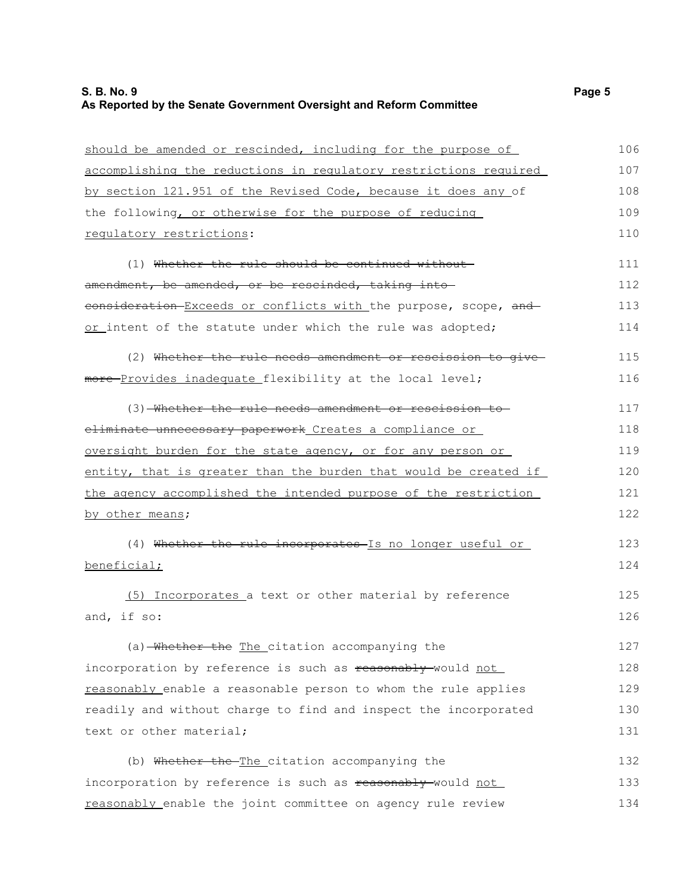# **S. B. No. 9 Page 5 As Reported by the Senate Government Oversight and Reform Committee**

| should be amended or rescinded, including for the purpose of     | 106 |
|------------------------------------------------------------------|-----|
| accomplishing the reductions in regulatory restrictions required | 107 |
| by section 121.951 of the Revised Code, because it does any of   | 108 |
| the following, or otherwise for the purpose of reducing          | 109 |
| requlatory restrictions:                                         | 110 |
| (1) Whether the rule should be continued without-                | 111 |
| amendment, be amended, or be rescinded, taking into              | 112 |
| consideration Exceeds or conflicts with the purpose, scope, and  | 113 |
| or intent of the statute under which the rule was adopted;       | 114 |
| (2) Whether the rule needs amendment or rescission to give-      | 115 |
| more-Provides inadequate flexibility at the local level;         | 116 |
| (3) Whether the rule needs amendment or rescission to            | 117 |
| eliminate unnecessary paperwork Creates a compliance or          | 118 |
| oversight burden for the state agency, or for any person or      | 119 |
| entity, that is greater than the burden that would be created if | 120 |
| the agency accomplished the intended purpose of the restriction  | 121 |
| by other means;                                                  | 122 |
| (4) Whether the rule incorporates-Is no longer useful or         | 123 |
| beneficial;                                                      | 124 |
| (5) Incorporates a text or other material by reference           | 125 |
| and, if so:                                                      | 126 |
| (a) Whether the The citation accompanying the                    | 127 |
| incorporation by reference is such as reasonably-would not       | 128 |
| reasonably enable a reasonable person to whom the rule applies   | 129 |
| readily and without charge to find and inspect the incorporated  | 130 |
| text or other material;                                          | 131 |
| (b) Whether the The citation accompanying the                    | 132 |
| incorporation by reference is such as reasonably-would not       | 133 |
| reasonably enable the joint committee on agency rule review      | 134 |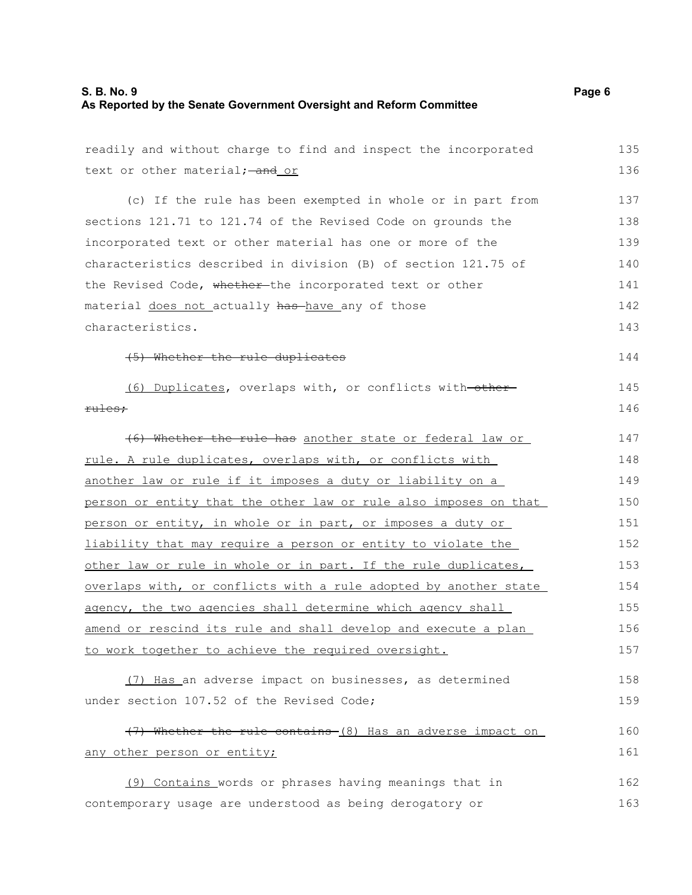#### **S. B. No. 9 Page 6 As Reported by the Senate Government Oversight and Reform Committee**

| readily and without charge to find and inspect the incorporated  | 135 |
|------------------------------------------------------------------|-----|
| text or other material; - and or                                 | 136 |
| (c) If the rule has been exempted in whole or in part from       | 137 |
| sections 121.71 to 121.74 of the Revised Code on grounds the     | 138 |
| incorporated text or other material has one or more of the       | 139 |
| characteristics described in division (B) of section 121.75 of   | 140 |
| the Revised Code, whether-the incorporated text or other         | 141 |
| material does not actually has have any of those                 | 142 |
| characteristics.                                                 | 143 |
| (5) Whether the rule duplicates                                  | 144 |
| (6) Duplicates, overlaps with, or conflicts with-other-          | 145 |
| <del>rules;</del>                                                | 146 |
| (6) Whether the rule has another state or federal law or         | 147 |
| rule. A rule duplicates, overlaps with, or conflicts with        | 148 |
| another law or rule if it imposes a duty or liability on a       | 149 |
| person or entity that the other law or rule also imposes on that | 150 |
| person or entity, in whole or in part, or imposes a duty or      | 151 |
| liability that may require a person or entity to violate the     | 152 |
| other law or rule in whole or in part. If the rule duplicates,   | 153 |
| overlaps with, or conflicts with a rule adopted by another state | 154 |
| agency, the two agencies shall determine which agency shall      | 155 |
| amend or rescind its rule and shall develop and execute a plan   | 156 |
| to work together to achieve the required oversight.              | 157 |
| (7) Has an adverse impact on businesses, as determined           | 158 |
| under section 107.52 of the Revised Code;                        | 159 |
| (7) Whether the rule contains (8) Has an adverse impact on       | 160 |
| any other person or entity;                                      | 161 |
| (9) Contains words or phrases having meanings that in            | 162 |
| contemporary usage are understood as being derogatory or         | 163 |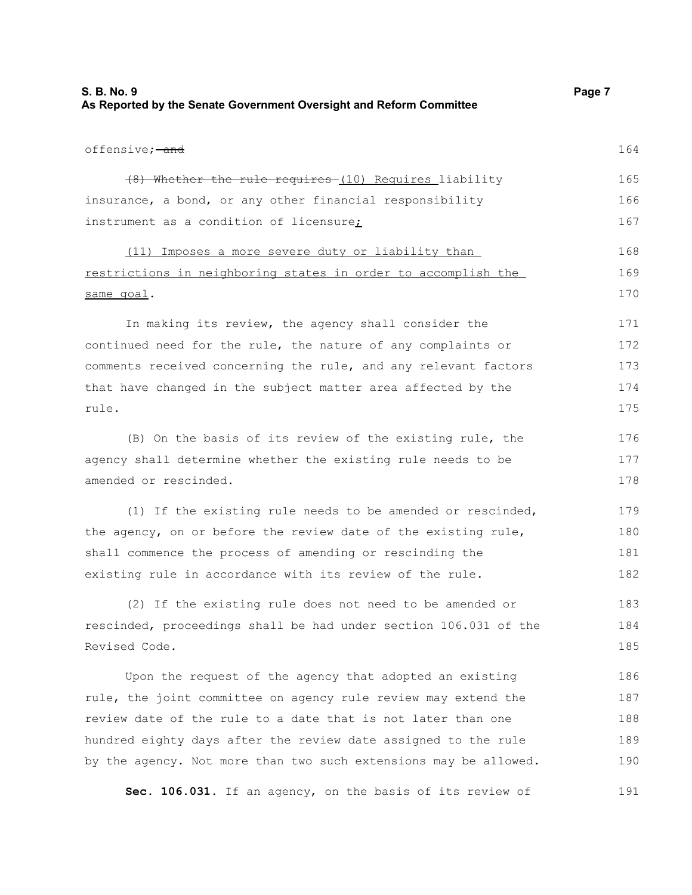| S. B. No. 9                                                         | Page 7 |
|---------------------------------------------------------------------|--------|
| As Reported by the Senate Government Oversight and Reform Committee |        |

189

| offensive; <del>-and</del>                                       | 164 |
|------------------------------------------------------------------|-----|
| (8) Whether the rule requires (10) Requires liability            | 165 |
| insurance, a bond, or any other financial responsibility         | 166 |
| instrument as a condition of licensure;                          | 167 |
| (11) Imposes a more severe duty or liability than                | 168 |
| restrictions in neighboring states in order to accomplish the    | 169 |
| same goal.                                                       | 170 |
| In making its review, the agency shall consider the              | 171 |
| continued need for the rule, the nature of any complaints or     | 172 |
| comments received concerning the rule, and any relevant factors  | 173 |
| that have changed in the subject matter area affected by the     | 174 |
| rule.                                                            | 175 |
| (B) On the basis of its review of the existing rule, the         | 176 |
| agency shall determine whether the existing rule needs to be     | 177 |
| amended or rescinded.                                            | 178 |
| (1) If the existing rule needs to be amended or rescinded,       | 179 |
| the agency, on or before the review date of the existing rule,   | 180 |
| shall commence the process of amending or rescinding the         | 181 |
| existing rule in accordance with its review of the rule.         | 182 |
| (2) If the existing rule does not need to be amended or          | 183 |
| rescinded, proceedings shall be had under section 106.031 of the | 184 |
| Revised Code.                                                    | 185 |
| Upon the request of the agency that adopted an existing          | 186 |
| rule, the joint committee on agency rule review may extend the   | 187 |
| review date of the rule to a date that is not later than one     | 188 |

hundred eighty days after the review date assigned to the rule by the agency. Not more than two such extensions may be allowed. 190

**Sec. 106.031.** If an agency, on the basis of its review of 191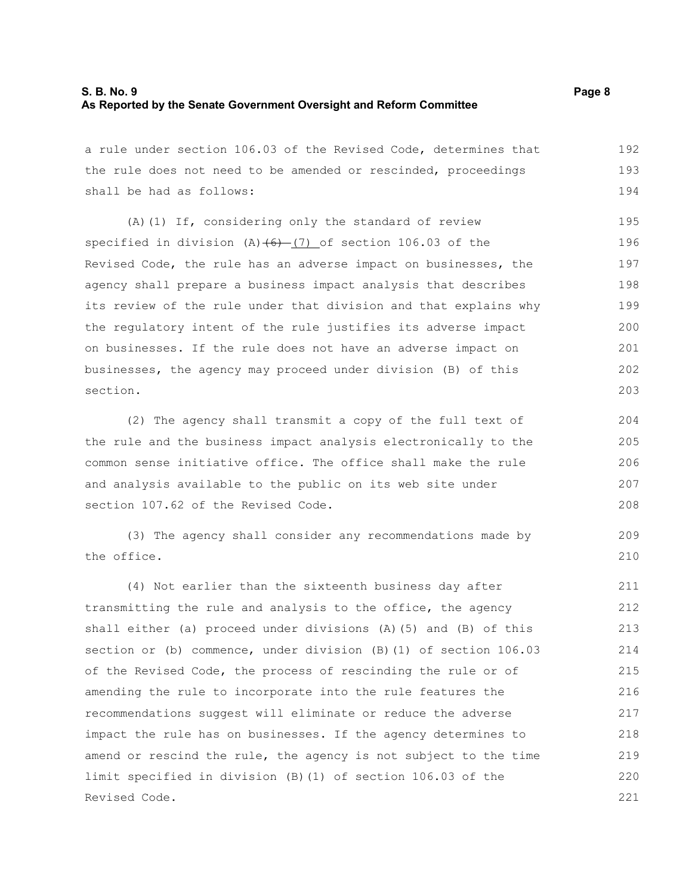# **S. B. No. 9 Page 8 As Reported by the Senate Government Oversight and Reform Committee**

a rule under section 106.03 of the Revised Code, determines that the rule does not need to be amended or rescinded, proceedings shall be had as follows: 192 193 194

(A)(1) If, considering only the standard of review specified in division  $(A)$   $(6)$   $(7)$  of section 106.03 of the Revised Code, the rule has an adverse impact on businesses, the agency shall prepare a business impact analysis that describes its review of the rule under that division and that explains why the regulatory intent of the rule justifies its adverse impact on businesses. If the rule does not have an adverse impact on businesses, the agency may proceed under division (B) of this section. 195 196 197 198 199 200 201 202 203

(2) The agency shall transmit a copy of the full text of the rule and the business impact analysis electronically to the common sense initiative office. The office shall make the rule and analysis available to the public on its web site under section 107.62 of the Revised Code.

(3) The agency shall consider any recommendations made by the office.

(4) Not earlier than the sixteenth business day after transmitting the rule and analysis to the office, the agency shall either (a) proceed under divisions (A)(5) and (B) of this section or (b) commence, under division (B)(1) of section 106.03 of the Revised Code, the process of rescinding the rule or of amending the rule to incorporate into the rule features the recommendations suggest will eliminate or reduce the adverse impact the rule has on businesses. If the agency determines to amend or rescind the rule, the agency is not subject to the time limit specified in division (B)(1) of section 106.03 of the Revised Code. 211 212 213 214 215 216 217 218 219 220 221

209 210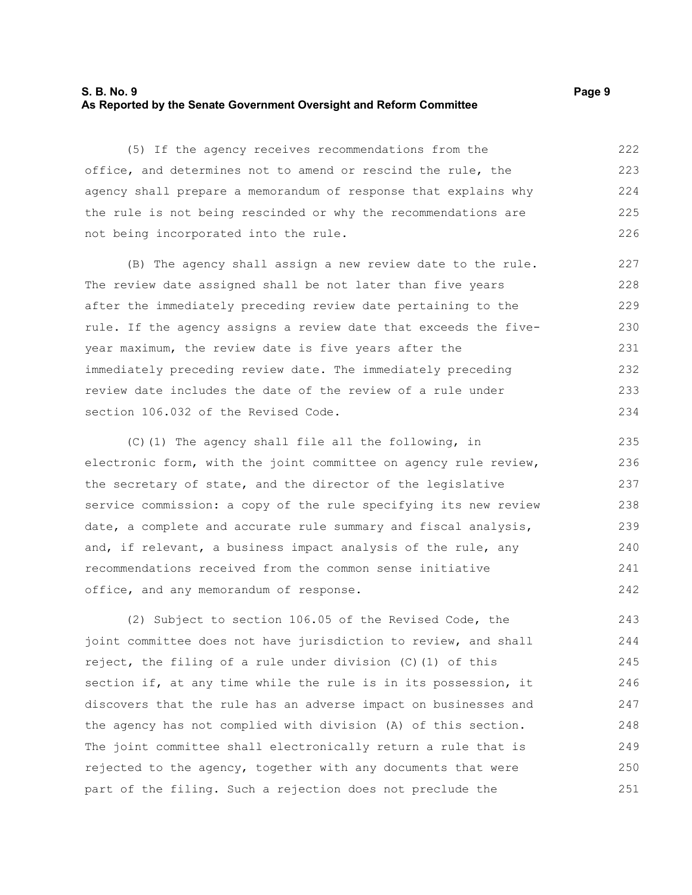#### **S. B. No. 9 Page 9 As Reported by the Senate Government Oversight and Reform Committee**

(5) If the agency receives recommendations from the office, and determines not to amend or rescind the rule, the agency shall prepare a memorandum of response that explains why the rule is not being rescinded or why the recommendations are not being incorporated into the rule. 222 223 224 225 226

(B) The agency shall assign a new review date to the rule. The review date assigned shall be not later than five years after the immediately preceding review date pertaining to the rule. If the agency assigns a review date that exceeds the fiveyear maximum, the review date is five years after the immediately preceding review date. The immediately preceding review date includes the date of the review of a rule under section 106.032 of the Revised Code.

(C)(1) The agency shall file all the following, in electronic form, with the joint committee on agency rule review, the secretary of state, and the director of the legislative service commission: a copy of the rule specifying its new review date, a complete and accurate rule summary and fiscal analysis, and, if relevant, a business impact analysis of the rule, any recommendations received from the common sense initiative office, and any memorandum of response. 235 236 237 238 239 240 241 242

(2) Subject to section 106.05 of the Revised Code, the joint committee does not have jurisdiction to review, and shall reject, the filing of a rule under division (C)(1) of this section if, at any time while the rule is in its possession, it discovers that the rule has an adverse impact on businesses and the agency has not complied with division (A) of this section. The joint committee shall electronically return a rule that is rejected to the agency, together with any documents that were part of the filing. Such a rejection does not preclude the 243 244 245 246 247 248 249 250 251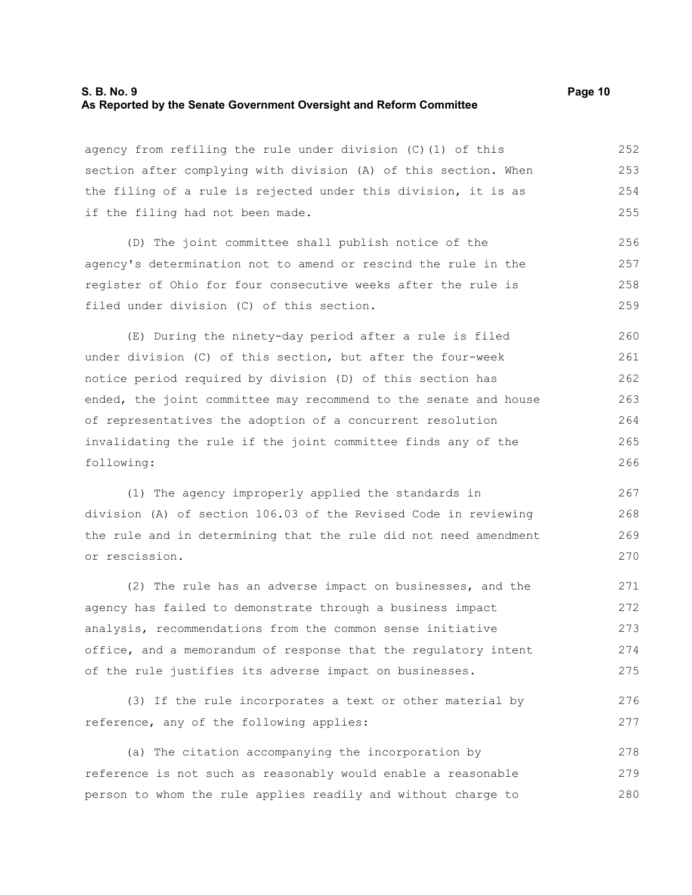#### **S. B. No. 9 Page 10 As Reported by the Senate Government Oversight and Reform Committee**

agency from refiling the rule under division (C)(1) of this section after complying with division (A) of this section. When the filing of a rule is rejected under this division, it is as if the filing had not been made. 252 253 254 255

(D) The joint committee shall publish notice of the agency's determination not to amend or rescind the rule in the register of Ohio for four consecutive weeks after the rule is filed under division (C) of this section. 256 257 258 259

(E) During the ninety-day period after a rule is filed under division (C) of this section, but after the four-week notice period required by division (D) of this section has ended, the joint committee may recommend to the senate and house of representatives the adoption of a concurrent resolution invalidating the rule if the joint committee finds any of the following: 260 261 262 263 264 265 266

(1) The agency improperly applied the standards in division (A) of section 106.03 of the Revised Code in reviewing the rule and in determining that the rule did not need amendment or rescission. 267 268 269 270

(2) The rule has an adverse impact on businesses, and the agency has failed to demonstrate through a business impact analysis, recommendations from the common sense initiative office, and a memorandum of response that the regulatory intent of the rule justifies its adverse impact on businesses. 271 272 273 274 275

(3) If the rule incorporates a text or other material by reference, any of the following applies: 276 277

(a) The citation accompanying the incorporation by reference is not such as reasonably would enable a reasonable person to whom the rule applies readily and without charge to 278 279 280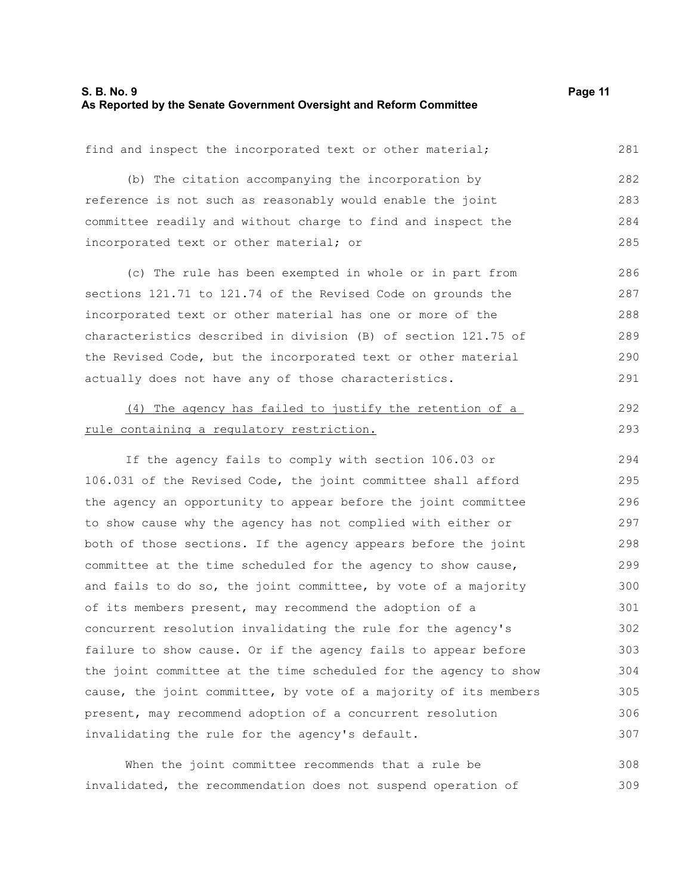#### **S. B. No. 9 Page 11 As Reported by the Senate Government Oversight and Reform Committee**

find and inspect the incorporated text or other material; (b) The citation accompanying the incorporation by reference is not such as reasonably would enable the joint committee readily and without charge to find and inspect the incorporated text or other material; or (c) The rule has been exempted in whole or in part from sections 121.71 to 121.74 of the Revised Code on grounds the incorporated text or other material has one or more of the characteristics described in division (B) of section 121.75 of the Revised Code, but the incorporated text or other material actually does not have any of those characteristics. (4) The agency has failed to justify the retention of a rule containing a regulatory restriction. If the agency fails to comply with section 106.03 or 106.031 of the Revised Code, the joint committee shall afford the agency an opportunity to appear before the joint committee to show cause why the agency has not complied with either or both of those sections. If the agency appears before the joint committee at the time scheduled for the agency to show cause, and fails to do so, the joint committee, by vote of a majority of its members present, may recommend the adoption of a concurrent resolution invalidating the rule for the agency's failure to show cause. Or if the agency fails to appear before the joint committee at the time scheduled for the agency to show cause, the joint committee, by vote of a majority of its members present, may recommend adoption of a concurrent resolution invalidating the rule for the agency's default. 281 282 283 284 285 286 287 288 289 290 291 292 293 294 295 296 297 298 299 300 301 302 303 304 305 306 307

When the joint committee recommends that a rule be invalidated, the recommendation does not suspend operation of 308 309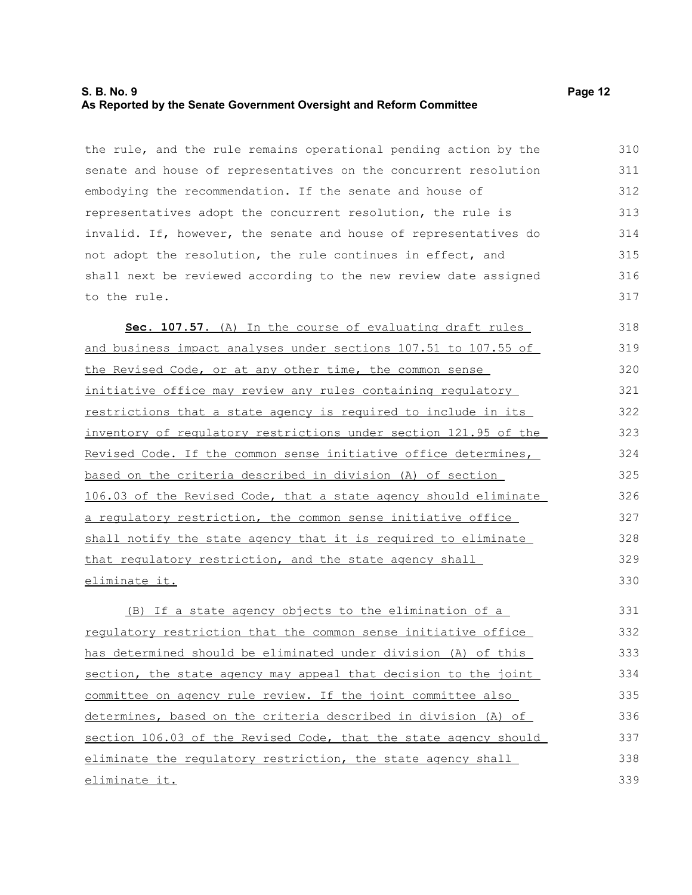# **S. B. No. 9 Page 12 As Reported by the Senate Government Oversight and Reform Committee**

the rule, and the rule remains operational pending action by the senate and house of representatives on the concurrent resolution embodying the recommendation. If the senate and house of representatives adopt the concurrent resolution, the rule is invalid. If, however, the senate and house of representatives do not adopt the resolution, the rule continues in effect, and shall next be reviewed according to the new review date assigned to the rule. 310 311 312 313 314 315 316 317

Sec. 107.57. (A) In the course of evaluating draft rules and business impact analyses under sections 107.51 to 107.55 of the Revised Code, or at any other time, the common sense initiative office may review any rules containing regulatory restrictions that a state agency is required to include in its inventory of regulatory restrictions under section 121.95 of the Revised Code. If the common sense initiative office determines, based on the criteria described in division (A) of section 106.03 of the Revised Code, that a state agency should eliminate a regulatory restriction, the common sense initiative office shall notify the state agency that it is required to eliminate that regulatory restriction, and the state agency shall eliminate it. 318 319 320 321 322 323 324 325 326 327 328 329 330

(B) If a state agency objects to the elimination of a regulatory restriction that the common sense initiative office has determined should be eliminated under division (A) of this section, the state agency may appeal that decision to the joint committee on agency rule review. If the joint committee also determines, based on the criteria described in division (A) of section 106.03 of the Revised Code, that the state agency should eliminate the regulatory restriction, the state agency shall eliminate it. 331 332 333 334 335 336 337 338 339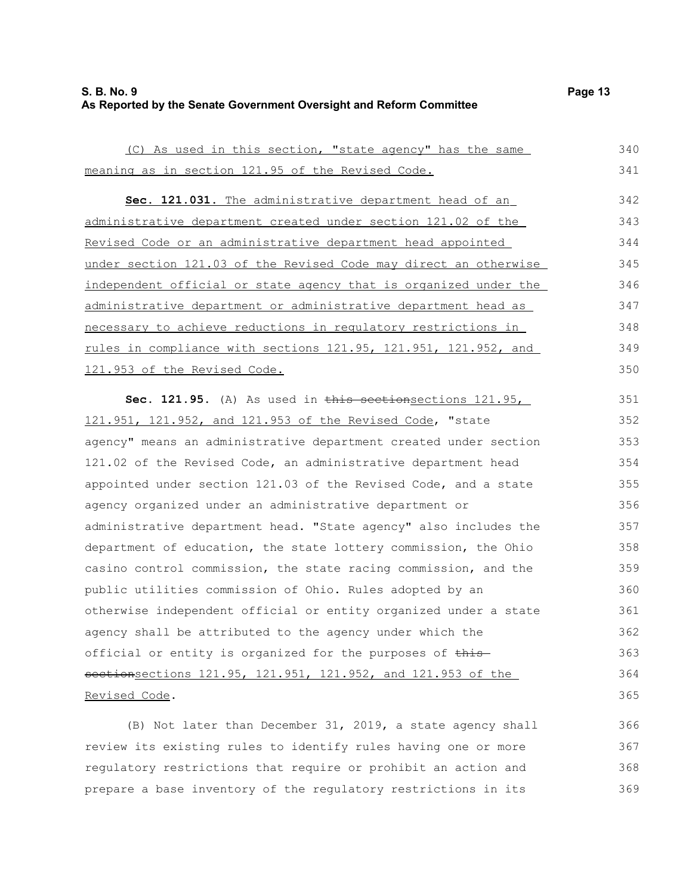## **S. B. No. 9 Page 13 As Reported by the Senate Government Oversight and Reform Committee**

| (C) As used in this section, "state agency" has the same         | 340 |
|------------------------------------------------------------------|-----|
| meaning as in section 121.95 of the Revised Code.                | 341 |
| Sec. 121.031. The administrative department head of an           | 342 |
| administrative department created under section 121.02 of the    | 343 |
| Revised Code or an administrative department head appointed      | 344 |
| under section 121.03 of the Revised Code may direct an otherwise | 345 |
| independent official or state agency that is organized under the | 346 |
| administrative department or administrative department head as   | 347 |
| necessary to achieve reductions in regulatory restrictions in    | 348 |
| rules in compliance with sections 121.95, 121.951, 121.952, and  | 349 |
| 121.953 of the Revised Code.                                     | 350 |
| Sec. 121.95. (A) As used in this sectionsections 121.95,         | 351 |
| 121.951, 121.952, and 121.953 of the Revised Code, "state        | 352 |
| agency" means an administrative department created under section | 353 |
| 121.02 of the Revised Code, an administrative department head    | 354 |
| appointed under section 121.03 of the Revised Code, and a state  | 355 |
| agency organized under an administrative department or           | 356 |
| administrative department head. "State agency" also includes the | 357 |
| department of education, the state lottery commission, the Ohio  | 358 |
| casino control commission, the state racing commission, and the  | 359 |
| public utilities commission of Ohio. Rules adopted by an         | 360 |
| otherwise independent official or entity organized under a state | 361 |
| agency shall be attributed to the agency under which the         | 362 |
| official or entity is organized for the purposes of this         | 363 |
| sectionsections 121.95, 121.951, 121.952, and 121.953 of the     | 364 |
| Revised Code.                                                    | 365 |

(B) Not later than December 31, 2019, a state agency shall review its existing rules to identify rules having one or more regulatory restrictions that require or prohibit an action and prepare a base inventory of the regulatory restrictions in its 366 367 368 369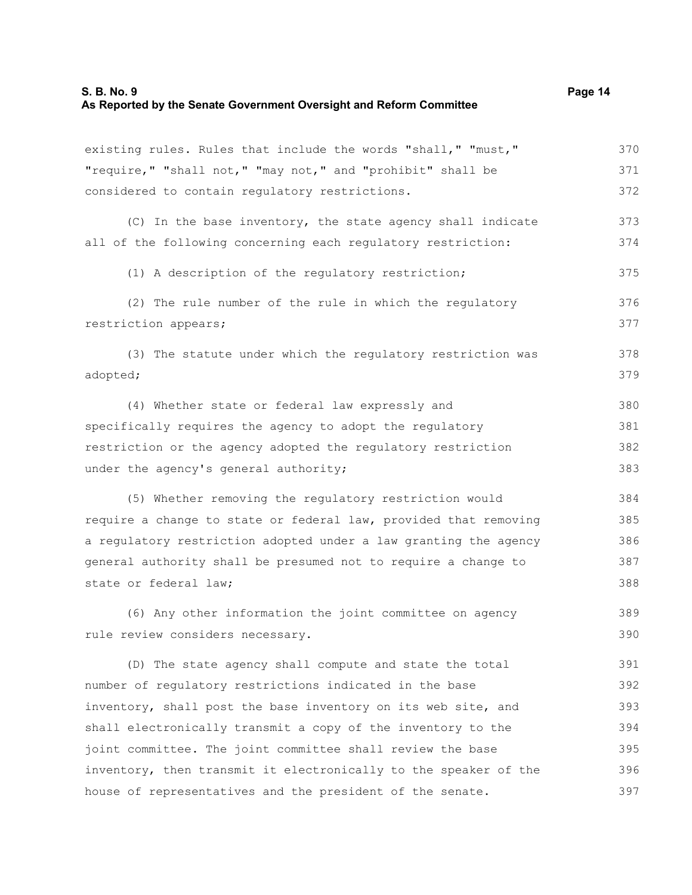| existing rules. Rules that include the words "shall," "must,"    | 370 |
|------------------------------------------------------------------|-----|
| "require," "shall not," "may not," and "prohibit" shall be       | 371 |
| considered to contain regulatory restrictions.                   | 372 |
| (C) In the base inventory, the state agency shall indicate       | 373 |
| all of the following concerning each regulatory restriction:     | 374 |
| (1) A description of the requlatory restriction;                 | 375 |
| (2) The rule number of the rule in which the regulatory          | 376 |
| restriction appears;                                             | 377 |
| (3) The statute under which the regulatory restriction was       | 378 |
| adopted;                                                         | 379 |
| (4) Whether state or federal law expressly and                   | 380 |
| specifically requires the agency to adopt the requlatory         | 381 |
| restriction or the agency adopted the regulatory restriction     | 382 |
| under the agency's general authority;                            | 383 |
| (5) Whether removing the regulatory restriction would            | 384 |
| require a change to state or federal law, provided that removing | 385 |
| a regulatory restriction adopted under a law granting the agency | 386 |
| general authority shall be presumed not to require a change to   | 387 |
| state or federal law;                                            | 388 |
| (6) Any other information the joint committee on agency          | 389 |
| rule review considers necessary.                                 | 390 |
| (D) The state agency shall compute and state the total           | 391 |
| number of regulatory restrictions indicated in the base          | 392 |
| inventory, shall post the base inventory on its web site, and    | 393 |
| shall electronically transmit a copy of the inventory to the     | 394 |
| joint committee. The joint committee shall review the base       | 395 |
| inventory, then transmit it electronically to the speaker of the | 396 |
| house of representatives and the president of the senate.        | 397 |
|                                                                  |     |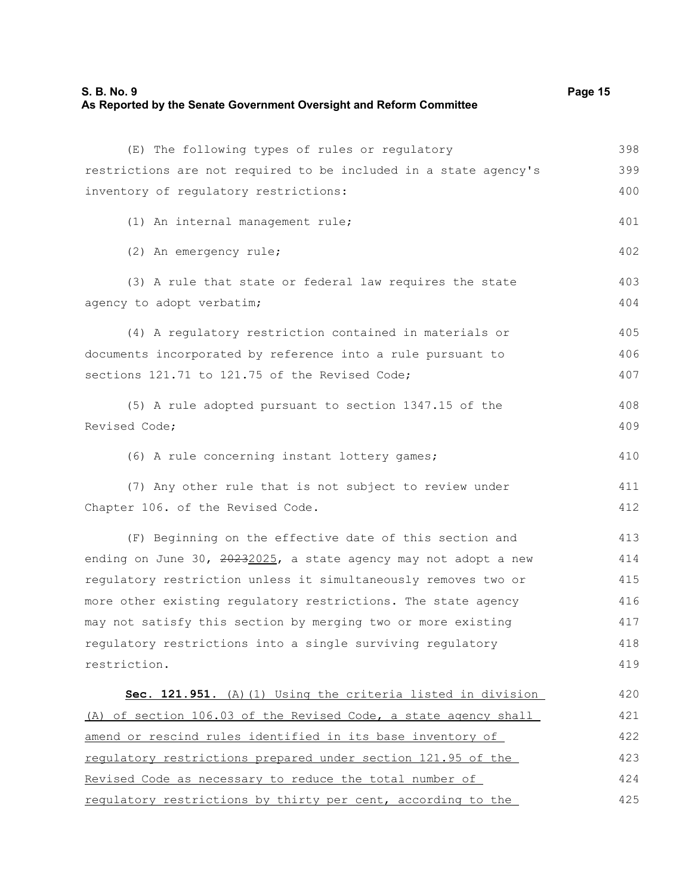#### **S. B. No. 9 Page 15 As Reported by the Senate Government Oversight and Reform Committee**

| (E) The following types of rules or regulatory                   | 398 |
|------------------------------------------------------------------|-----|
| restrictions are not required to be included in a state agency's | 399 |
| inventory of regulatory restrictions:                            | 400 |
| (1) An internal management rule;                                 | 401 |
| (2) An emergency rule;                                           | 402 |
| (3) A rule that state or federal law requires the state          | 403 |
| agency to adopt verbatim;                                        | 404 |
| (4) A regulatory restriction contained in materials or           | 405 |
| documents incorporated by reference into a rule pursuant to      | 406 |
| sections 121.71 to 121.75 of the Revised Code;                   | 407 |
| (5) A rule adopted pursuant to section 1347.15 of the            | 408 |
| Revised Code;                                                    | 409 |
| (6) A rule concerning instant lottery games;                     | 410 |
| (7) Any other rule that is not subject to review under           | 411 |
| Chapter 106. of the Revised Code.                                | 412 |
| (F) Beginning on the effective date of this section and          | 413 |
| ending on June 30, 20232025, a state agency may not adopt a new  | 414 |
| requlatory restriction unless it simultaneously removes two or   | 415 |
| more other existing regulatory restrictions. The state agency    | 416 |
| may not satisfy this section by merging two or more existing     | 417 |
| regulatory restrictions into a single surviving regulatory       | 418 |
| restriction.                                                     | 419 |
| Sec. 121.951. (A) (1) Using the criteria listed in division      | 420 |
| (A) of section 106.03 of the Revised Code, a state agency shall  | 421 |
| amend or rescind rules identified in its base inventory of       | 422 |
| requlatory restrictions prepared under section 121.95 of the     | 423 |
| Revised Code as necessary to reduce the total number of          | 424 |
| regulatory restrictions by thirty per cent, according to the     | 425 |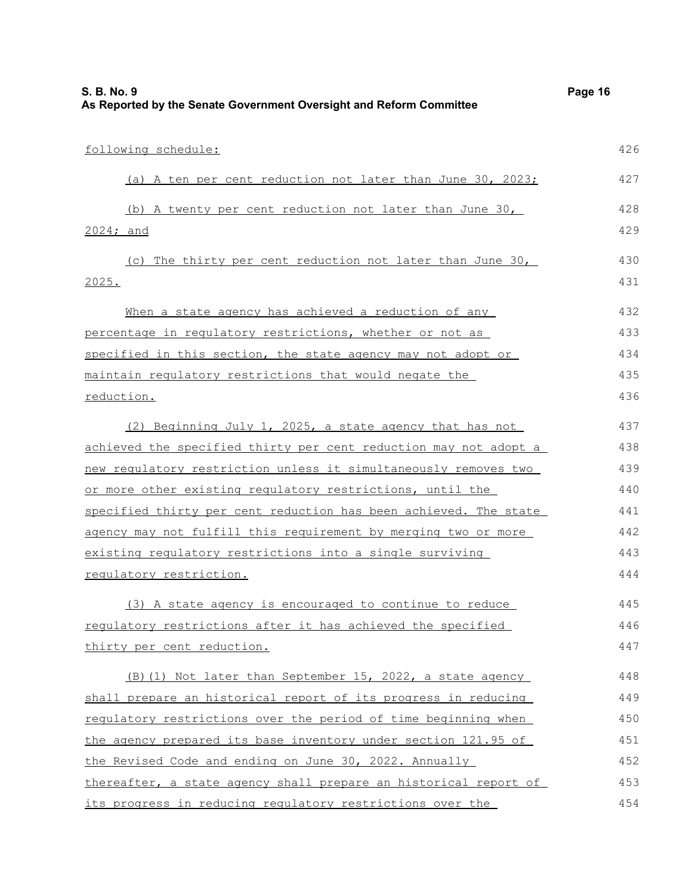| As Reported by the Senate Government Oversight and Reform Committee |     |
|---------------------------------------------------------------------|-----|
| following schedule:                                                 | 426 |
| (a) A ten per cent reduction not later than June 30, 2023;          | 427 |
| (b) A twenty per cent reduction not later than June 30,             | 428 |
| 2024; and                                                           | 429 |
| (c) The thirty per cent reduction not later than June 30,           | 430 |
| 2025.                                                               | 431 |
| When a state agency has achieved a reduction of any                 | 432 |
| percentage in regulatory restrictions, whether or not as            | 433 |
| specified in this section, the state agency may not adopt or        | 434 |
| maintain requlatory restrictions that would negate the              | 435 |
| reduction.                                                          | 436 |
| (2) Beginning July 1, 2025, a state agency that has not             | 437 |
| achieved the specified thirty per cent reduction may not adopt a    | 438 |
| new requlatory restriction unless it simultaneously removes two     | 439 |
| or more other existing regulatory restrictions, until the           | 440 |
| specified thirty per cent reduction has been achieved. The state    | 441 |
| agency may not fulfill this requirement by merging two or more      | 442 |
| existing regulatory restrictions into a single surviving            | 443 |
| requlatory restriction.                                             | 444 |
| (3) A state agency is encouraged to continue to reduce              | 445 |
| requlatory restrictions after it has achieved the specified         | 446 |
| thirty per cent reduction.                                          | 447 |
| (B) (1) Not later than September 15, 2022, a state agency           | 448 |
| shall prepare an historical report of its progress in reducing      | 449 |
| regulatory restrictions over the period of time beginning when      | 450 |
| the agency prepared its base inventory under section 121.95 of      | 451 |
| the Revised Code and ending on June 30, 2022. Annually              | 452 |
| thereafter, a state agency shall prepare an historical report of    | 453 |
| its progress in reducing regulatory restrictions over the           | 454 |

**S. B. No. 9 Page 16**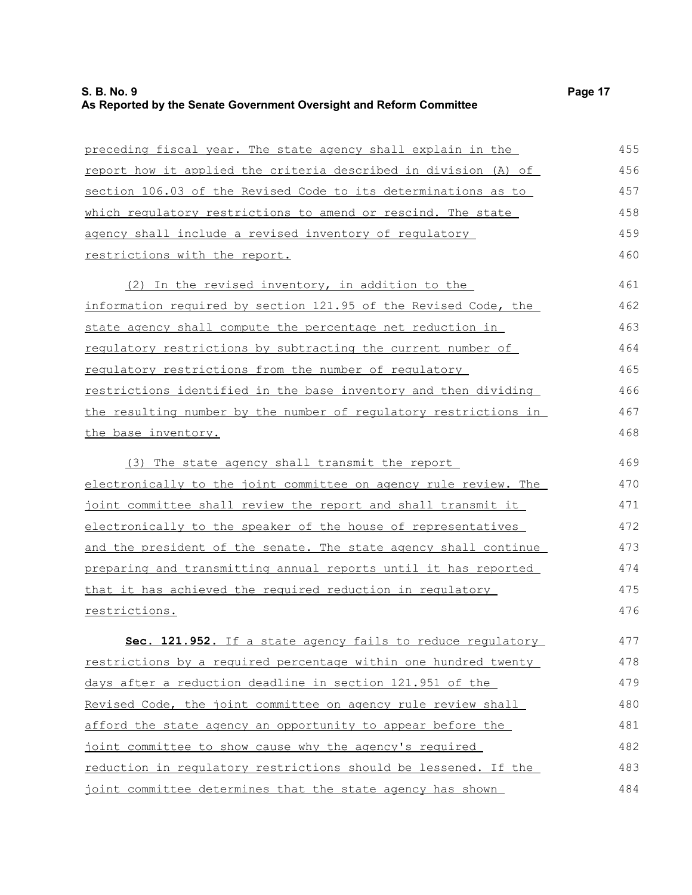# **S. B. No. 9 Page 17 As Reported by the Senate Government Oversight and Reform Committee**

| preceding fiscal year. The state agency shall explain in the        | 455 |
|---------------------------------------------------------------------|-----|
| report how it applied the criteria described in division (A) of     | 456 |
| section 106.03 of the Revised Code to its determinations as to      | 457 |
| which requlatory restrictions to amend or rescind. The state        | 458 |
| agency shall include a revised inventory of regulatory              | 459 |
| restrictions with the report.                                       | 460 |
| (2) In the revised inventory, in addition to the                    | 461 |
| information required by section 121.95 of the Revised Code, the     | 462 |
| state agency shall compute the percentage net reduction in          | 463 |
| <u>requlatory restrictions by subtracting the current number of</u> | 464 |
| regulatory restrictions from the number of regulatory               | 465 |
| restrictions identified in the base inventory and then dividing     | 466 |
| the resulting number by the number of regulatory restrictions in    | 467 |
| the base inventory.                                                 | 468 |
| (3) The state agency shall transmit the report                      | 469 |
| electronically to the joint committee on agency rule review. The    | 470 |
| joint committee shall review the report and shall transmit it       | 471 |
| electronically to the speaker of the house of representatives       | 472 |
| and the president of the senate. The state agency shall continue    | 473 |
| preparing and transmitting annual reports until it has reported     | 474 |
| that it has achieved the required reduction in requlatory           | 475 |
| restrictions.                                                       | 476 |
| Sec. 121.952. If a state agency fails to reduce regulatory          | 477 |
| restrictions by a required percentage within one hundred twenty     | 478 |
| days after a reduction deadline in section 121.951 of the           | 479 |
| Revised Code, the joint committee on agency rule review shall       | 480 |
| afford the state agency an opportunity to appear before the         | 481 |
| joint committee to show cause why the agency's required             | 482 |
| reduction in regulatory restrictions should be lessened. If the     | 483 |
| joint committee determines that the state agency has shown          | 484 |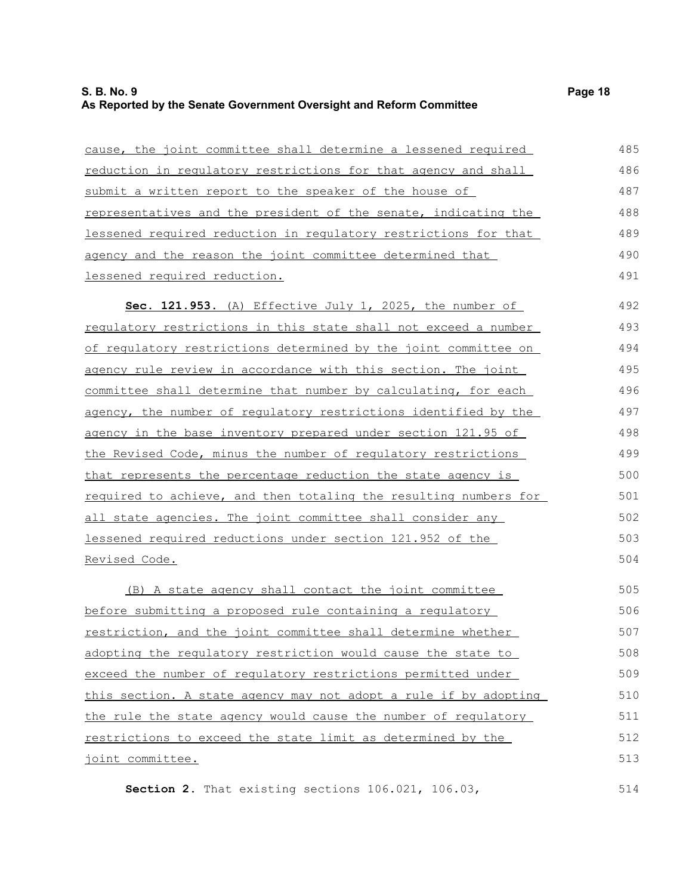# **S. B. No. 9 Page 18 As Reported by the Senate Government Oversight and Reform Committee**

| cause, the joint committee shall determine a lessened required        | 485 |
|-----------------------------------------------------------------------|-----|
| reduction in regulatory restrictions for that agency and shall        | 486 |
| submit a written report to the speaker of the house of                | 487 |
| representatives and the president of the senate, indicating the       | 488 |
| lessened required reduction in requlatory restrictions for that       | 489 |
| agency and the reason the joint committee determined that             | 490 |
| lessened required reduction.                                          | 491 |
| Sec. 121.953. (A) Effective July 1, 2025, the number of               | 492 |
| requlatory restrictions in this state shall not exceed a number       | 493 |
| of requlatory restrictions determined by the joint committee on       | 494 |
| <u>agency rule review in accordance with this section. The joint </u> | 495 |
| committee shall determine that number by calculating, for each        | 496 |
| agency, the number of regulatory restrictions identified by the       | 497 |
| agency in the base inventory prepared under section 121.95 of         | 498 |
| the Revised Code, minus the number of requlatory restrictions         | 499 |
| that represents the percentage reduction the state agency is          | 500 |
| required to achieve, and then totaling the resulting numbers for      | 501 |
| all state agencies. The joint committee shall consider any            | 502 |
| lessened required reductions under section 121.952 of the             | 503 |
| <u>Revised Code.</u>                                                  | 504 |
| (B) A state agency shall contact the joint committee                  | 505 |
| $hofora$ submitting a proposed rule containing a requistery           | 506 |

before submitting a proposed rule containing a regulatory restriction, and the joint committee shall determine whether adopting the regulatory restriction would cause the state to exceed the number of regulatory restrictions permitted under this section. A state agency may not adopt a rule if by adopting the rule the state agency would cause the number of regulatory restrictions to exceed the state limit as determined by the joint committee. 505 506 507 508 509 510 511 512 513

**Section 2.** That existing sections 106.021, 106.03,

514